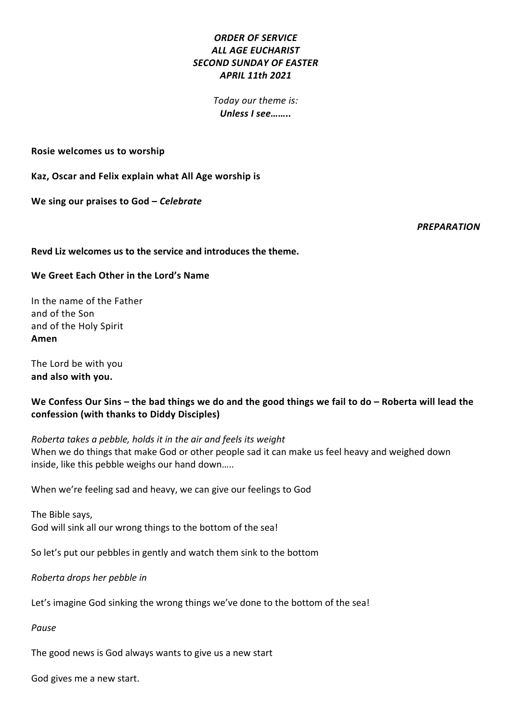# *ORDER OF SERVICE* **ALL AGE EUCHARIST** *SECOND SUNDAY OF EASTER APRIL 11th 2021*

*Today our theme is: Unless I see……..*

**Rosie welcomes us to worship** 

Kaz, Oscar and Felix explain what All Age worship is

We sing our praises to God - *Celebrate* 

*PREPARATION*

#### **Revd Liz welcomes us to the service and introduces the theme.**

#### We Greet Each Other in the Lord's Name

In the name of the Father and of the Son and of the Holy Spirit **Amen**

The Lord be with you **and also with you.**

# We Confess Our Sins – the bad things we do and the good things we fail to do – Roberta will lead the **confession (with thanks to Diddy Disciples)**

*Roberta takes a pebble, holds it in the air and feels its weight* When we do things that make God or other people sad it can make us feel heavy and weighed down inside, like this pebble weighs our hand down.....

When we're feeling sad and heavy, we can give our feelings to God

The Bible says, God will sink all our wrong things to the bottom of the sea!

So let's put our pebbles in gently and watch them sink to the bottom

*Roberta drops her pebble in* 

Let's imagine God sinking the wrong things we've done to the bottom of the sea!

*Pause*

The good news is God always wants to give us a new start

God gives me a new start.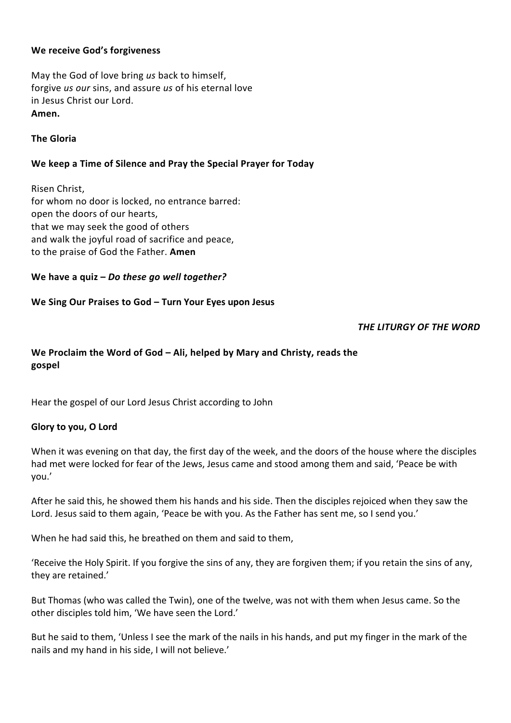## **We receive God's forgiveness**

May the God of love bring us back to himself, forgive *us our* sins, and assure *us* of his eternal love in Jesus Christ our Lord. **Amen.**

## **The Gloria**

## We keep a Time of Silence and Pray the Special Prayer for Today

Risen Christ, for whom no door is locked, no entrance barred: open the doors of our hearts. that we may seek the good of others and walk the joyful road of sacrifice and peace, to the praise of God the Father. **Amen** 

### We have a quiz - *Do these go well together?*

### We Sing Our Praises to God – Turn Your Eyes upon Jesus

*THE LITURGY OF THE WORD* 

# We Proclaim the Word of God – Ali, helped by Mary and Christy, reads the **gospel**

Hear the gospel of our Lord Jesus Christ according to John

### **Glory to you, O Lord**

When it was evening on that day, the first day of the week, and the doors of the house where the disciples had met were locked for fear of the Jews, Jesus came and stood among them and said, 'Peace be with you.'

After he said this, he showed them his hands and his side. Then the disciples rejoiced when they saw the Lord. Jesus said to them again, 'Peace be with you. As the Father has sent me, so I send you.'

When he had said this, he breathed on them and said to them,

'Receive the Holy Spirit. If you forgive the sins of any, they are forgiven them; if you retain the sins of any, they are retained.'

But Thomas (who was called the Twin), one of the twelve, was not with them when Jesus came. So the other disciples told him, 'We have seen the Lord.'

But he said to them, 'Unless I see the mark of the nails in his hands, and put my finger in the mark of the nails and my hand in his side, I will not believe.'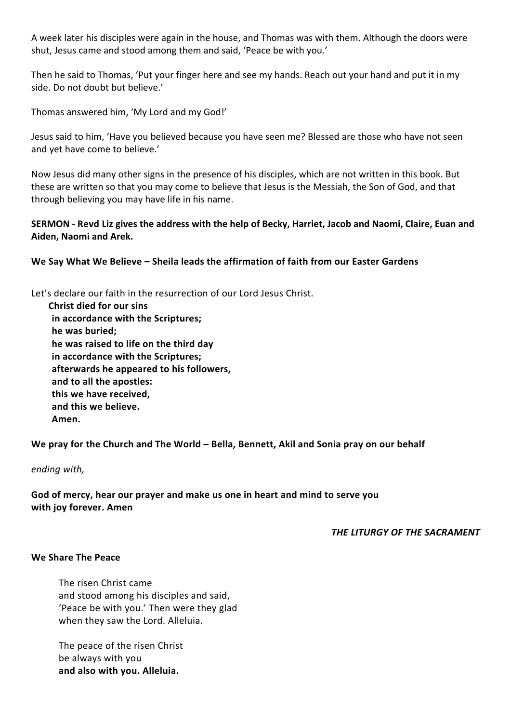A week later his disciples were again in the house, and Thomas was with them. Although the doors were shut, Jesus came and stood among them and said, 'Peace be with you.'

Then he said to Thomas, 'Put your finger here and see my hands. Reach out your hand and put it in my side. Do not doubt but believe.'

Thomas answered him, 'My Lord and my God!'

Jesus said to him, 'Have you believed because you have seen me? Blessed are those who have not seen and yet have come to believe.'

Now Jesus did many other signs in the presence of his disciples, which are not written in this book. But these are written so that you may come to believe that Jesus is the Messiah, the Son of God, and that through believing you may have life in his name.

## **SERMON** - Revd Liz gives the address with the help of Becky, Harriet, Jacob and Naomi, Claire, Euan and Aiden, Naomi and Arek.

## We Say What We Believe – Sheila leads the affirmation of faith from our Easter Gardens

Let's declare our faith in the resurrection of our Lord Jesus Christ.

 **Christ died for our sins in accordance with the Scriptures;** he was buried; he was raised to life on the third day **in accordance with the Scriptures; afterwards he appeared to his followers,** and to all the apostles: this we have received, **and this we believe. Amen.**

We pray for the Church and The World – Bella, Bennett, Akil and Sonia pray on our behalf

*ending with,* 

God of mercy, hear our prayer and make us one in heart and mind to serve vou with joy forever. Amen

**THE LITURGY OF THE SACRAMENT** 

#### **We Share The Peace**

The risen Christ came and stood among his disciples and said, 'Peace be with you.' Then were they glad when they saw the Lord. Alleluia.

The peace of the risen Christ be always with you **and also with you. Alleluia.**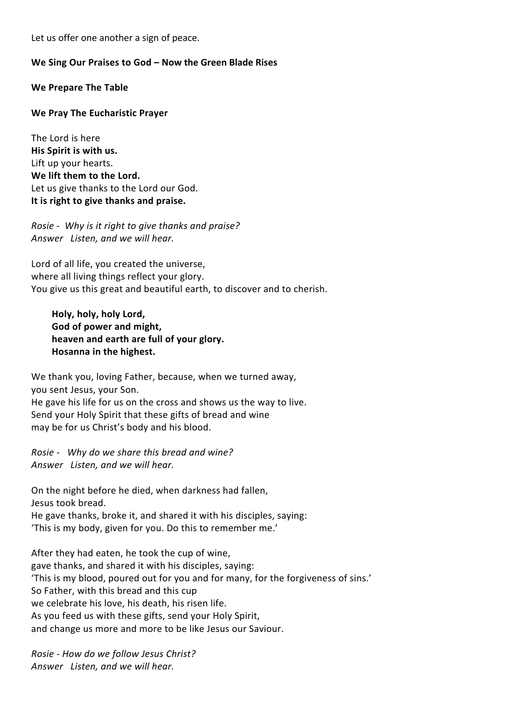Let us offer one another a sign of peace.

### We Sing Our Praises to God – Now the Green Blade Rises

**We Prepare The Table**

### **We Pray The Eucharistic Prayer**

The Lord is here **His Spirit is with us.** Lift up your hearts. We lift them to the Lord. Let us give thanks to the Lord our God. It is right to give thanks and praise.

*Rosie* - Why is it right to give thanks and praise? *Answer Listen, and we will hear.*

Lord of all life, you created the universe, where all living things reflect your glory. You give us this great and beautiful earth, to discover and to cherish.

Holy, holy, holy Lord, God of power and might, heaven and earth are full of your glory. **Hosanna in the highest.** 

We thank you, loving Father, because, when we turned away, you sent Jesus, your Son. He gave his life for us on the cross and shows us the way to live. Send your Holy Spirit that these gifts of bread and wine may be for us Christ's body and his blood.

*Rosie* - *Why do we share this bread and wine? Answer Listen, and we will hear.*

On the night before he died, when darkness had fallen, Jesus took bread. He gave thanks, broke it, and shared it with his disciples, saying: 'This is my body, given for you. Do this to remember me.'

After they had eaten, he took the cup of wine, gave thanks, and shared it with his disciples, saying: 'This is my blood, poured out for you and for many, for the forgiveness of sins.' So Father, with this bread and this cup we celebrate his love, his death, his risen life. As you feed us with these gifts, send your Holy Spirit, and change us more and more to be like Jesus our Saviour.

*Rosie - How do we follow Jesus Christ? Answer Listen, and we will hear.*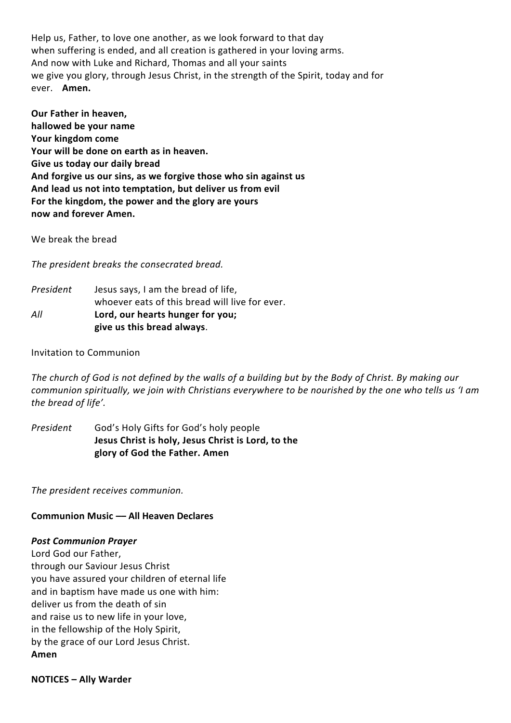Help us, Father, to love one another, as we look forward to that day when suffering is ended, and all creation is gathered in your loving arms. And now with Luke and Richard, Thomas and all your saints we give you glory, through Jesus Christ, in the strength of the Spirit, today and for ever. **Amen.**

**Our Father in heaven. hallowed be your name** Your kingdom come Your will be done on earth as in heaven. **Give us today our daily bread** And forgive us our sins, as we forgive those who sin against us And lead us not into temptation, but deliver us from evil For the kingdom, the power and the glory are yours now and forever Amen.

We break the bread

The president breaks the consecrated bread.

*President* Jesus says, I am the bread of life, whoever eats of this bread will live for ever. All **Lord, our hearts hunger for you; give us this bread always**.

### Invitation to Communion

The church of God is not defined by the walls of a building but by the Body of Christ. By making our *communion spiritually, we join with Christians everywhere to be nourished by the one who tells us 'I am* the bread of life'.

*President* God's Holy Gifts for God's holy people **Jesus Christ is holy, Jesus Christ is Lord, to the glory of God the Father. Amen**

The president receives communion.

### **Communion Music -- All Heaven Declares**

#### *Post Communion Prayer*

Lord God our Father, through our Saviour Jesus Christ you have assured your children of eternal life and in baptism have made us one with him: deliver us from the death of sin and raise us to new life in your love. in the fellowship of the Holy Spirit, by the grace of our Lord Jesus Christ. **Amen**

#### **NOTICES – Ally Warder**